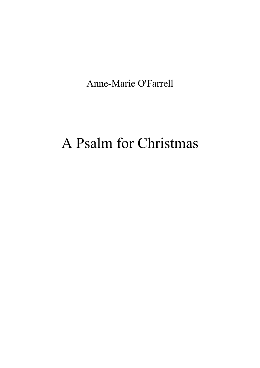Anne-Marie O'Farrell

## A Psalm for Christmas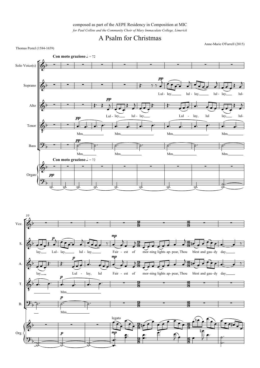*for Paul Collins and the Community Choir of Mary Immaculate College, Limerick* composed as part of the AEPE Residency in Composition at MIC

## A Psalm for Christmas

Anne-Marie O'Farrell (2015)

Thomas Pestel (1584-1659)

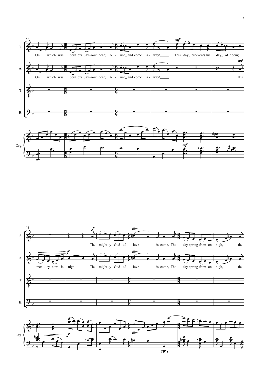

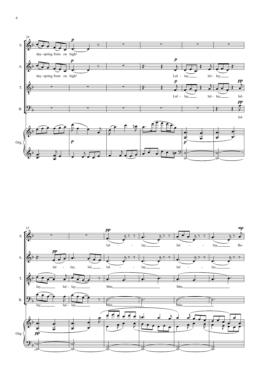

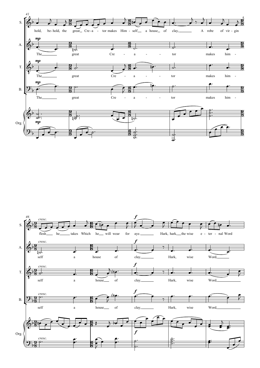

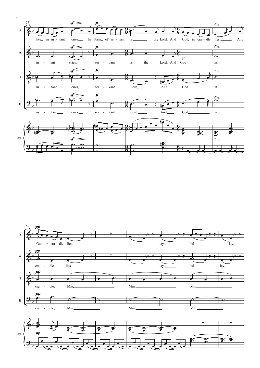

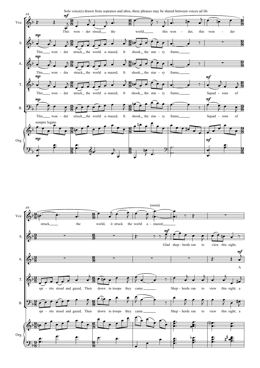

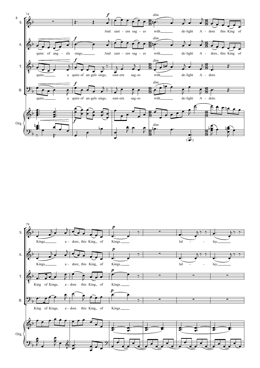

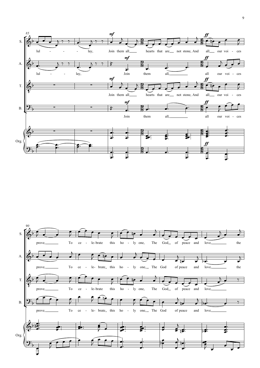